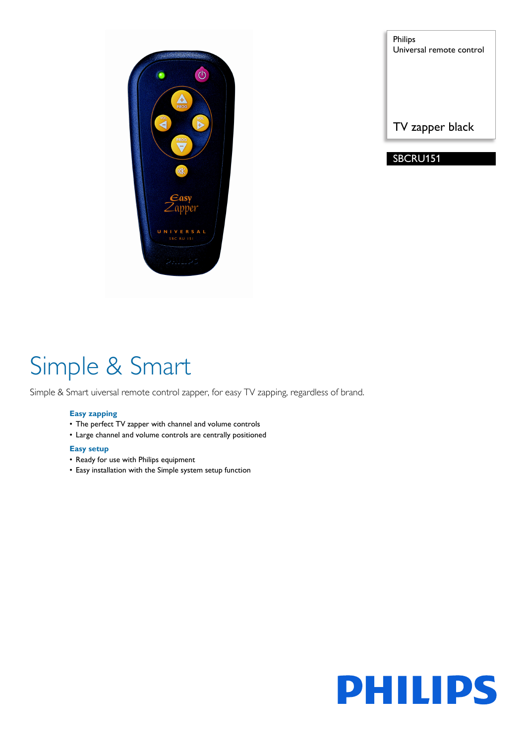

Philips Universal remote control

TV zapper black

SBCRU151

# Simple & Smart

Simple & Smart uiversal remote control zapper, for easy TV zapping, regardless of brand.

### **Easy zapping**

- The perfect TV zapper with channel and volume controls
- Large channel and volume controls are centrally positioned

### **Easy setup**

- Ready for use with Philips equipment
- Easy installation with the Simple system setup function